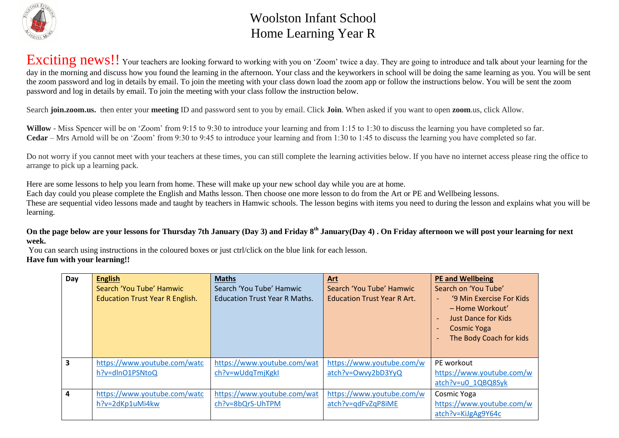

## Woolston Infant School Home Learning Year R

Exciting news!! Your teachers are looking forward to working with you on 'Zoom' twice a day. They are going to introduce and talk about your learning for the day in the morning and discuss how you found the learning in the afternoon. Your class and the keyworkers in school will be doing the same learning as you. You will be sent the zoom password and log in details by email. To join the meeting with your class down load the zoom app or follow the instructions below. You will be sent the zoom password and log in details by email. To join the meeting with your class follow the instruction below.

Search **join.zoom.us.** then enter your **meeting** ID and password sent to you by email. Click **Join**. When asked if you want to open **zoom**.us, click Allow.

**Willow** - Miss Spencer will be on 'Zoom' from 9:15 to 9:30 to introduce your learning and from 1:15 to 1:30 to discuss the learning you have completed so far. **Cedar** – Mrs Arnold will be on 'Zoom' from 9:30 to 9:45 to introduce your learning and from 1:30 to 1:45 to discuss the learning you have completed so far.

Do not worry if you cannot meet with your teachers at these times, you can still complete the learning activities below. If you have no internet access please ring the office to arrange to pick up a learning pack.

Here are some lessons to help you learn from home. These will make up your new school day while you are at home.

Each day could you please complete the English and Maths lesson. Then choose one more lesson to do from the Art or PE and Wellbeing lessons.

These are sequential video lessons made and taught by teachers in Hamwic schools. The lesson begins with items you need to during the lesson and explains what you will be learning.

**On the page below are your lessons for Thursday 7th January (Day 3) and Friday 8th January(Day 4) . On Friday afternoon we will post your learning for next week.**

You can search using instructions in the coloured boxes or just ctrl/click on the blue link for each lesson. **Have fun with your learning!!**

| Day                     | <b>English</b>                         | <b>Maths</b>                         | Art                                | <b>PE and Wellbeing</b>                                                                                                                                                                               |
|-------------------------|----------------------------------------|--------------------------------------|------------------------------------|-------------------------------------------------------------------------------------------------------------------------------------------------------------------------------------------------------|
|                         | Search 'You Tube' Hamwic               | Search 'You Tube' Hamwic             | Search 'You Tube' Hamwic           | Search on 'You Tube'                                                                                                                                                                                  |
|                         | <b>Education Trust Year R English.</b> | <b>Education Trust Year R Maths.</b> | <b>Education Trust Year R Art.</b> | '9 Min Exercise For Kids<br>- Home Workout'<br><b>Just Dance for Kids</b><br>$\overline{\phantom{a}}$<br><b>Cosmic Yoga</b><br>$\qquad \qquad$<br>The Body Coach for kids<br>$\overline{\phantom{0}}$ |
| $\overline{\mathbf{3}}$ | https://www.youtube.com/watc           | https://www.youtube.com/wat          | https://www.youtube.com/w          | PE workout                                                                                                                                                                                            |
|                         | h?v=dlnO1PSNtoQ                        | ch?v=wUdqTmjKgkI                     | atch?v=Owvy2bD3YyQ                 | https://www.youtube.com/w                                                                                                                                                                             |
|                         |                                        |                                      |                                    | atch?v=u0 1QBQ8Syk                                                                                                                                                                                    |
| $\overline{4}$          | https://www.youtube.com/watc           | https://www.youtube.com/wat          | https://www.youtube.com/w          | Cosmic Yoga                                                                                                                                                                                           |
|                         | h?v=2dKp1uMi4kw                        | ch?v=8bQrS-UhTPM                     | atch?v=gdFvZqP8iME                 | https://www.youtube.com/w                                                                                                                                                                             |
|                         |                                        |                                      |                                    | atch?v=KiJgAg9Y64c                                                                                                                                                                                    |